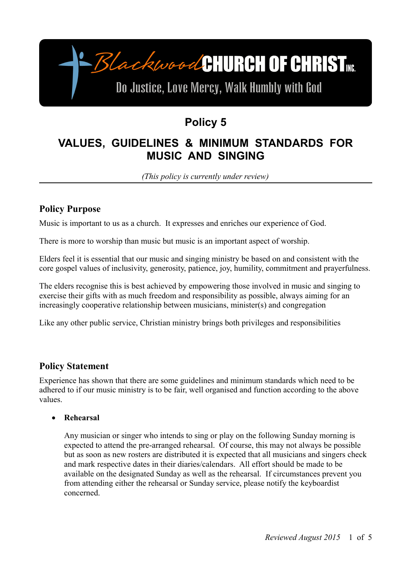-BlackwoodCHURCH OF CHRIST

# Do Justice, Love Mercy, Walk Humbly with God

## **Policy 5**

## **VALUES, GUIDELINES & MINIMUM STANDARDS FOR MUSIC AND SINGING**

*(This policy is currently under review)*

### **Policy Purpose**

Music is important to us as a church. It expresses and enriches our experience of God.

There is more to worship than music but music is an important aspect of worship.

Elders feel it is essential that our music and singing ministry be based on and consistent with the core gospel values of inclusivity, generosity, patience, joy, humility, commitment and prayerfulness.

The elders recognise this is best achieved by empowering those involved in music and singing to exercise their gifts with as much freedom and responsibility as possible, always aiming for an increasingly cooperative relationship between musicians, minister(s) and congregation

Like any other public service, Christian ministry brings both privileges and responsibilities

### **Policy Statement**

Experience has shown that there are some guidelines and minimum standards which need to be adhered to if our music ministry is to be fair, well organised and function according to the above values.

#### **Rehearsal**

Any musician or singer who intends to sing or play on the following Sunday morning is expected to attend the pre-arranged rehearsal. Of course, this may not always be possible but as soon as new rosters are distributed it is expected that all musicians and singers check and mark respective dates in their diaries/calendars. All effort should be made to be available on the designated Sunday as well as the rehearsal. If circumstances prevent you from attending either the rehearsal or Sunday service, please notify the keyboardist concerned.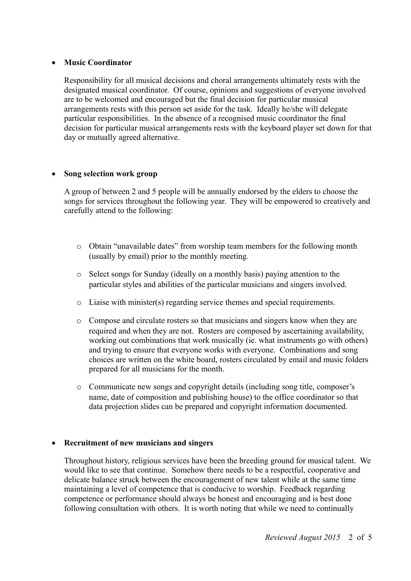#### **Music Coordinator**

Responsibility for all musical decisions and choral arrangements ultimately rests with the designated musical coordinator. Of course, opinions and suggestions of everyone involved are to be welcomed and encouraged but the final decision for particular musical arrangements rests with this person set aside for the task. Ideally he/she will delegate particular responsibilities. In the absence of a recognised music coordinator the final decision for particular musical arrangements rests with the keyboard player set down for that day or mutually agreed alternative.

#### **Song selection work group**

A group of between 2 and 5 people will be annually endorsed by the elders to choose the songs for services throughout the following year. They will be empowered to creatively and carefully attend to the following:

- o Obtain "unavailable dates" from worship team members for the following month (usually by email) prior to the monthly meeting.
- o Select songs for Sunday (ideally on a monthly basis) paying attention to the particular styles and abilities of the particular musicians and singers involved.
- o Liaise with minister(s) regarding service themes and special requirements.
- o Compose and circulate rosters so that musicians and singers know when they are required and when they are not. Rosters are composed by ascertaining availability, working out combinations that work musically (ie. what instruments go with others) and trying to ensure that everyone works with everyone. Combinations and song choices are written on the white board, rosters circulated by email and music folders prepared for all musicians for the month.
- o Communicate new songs and copyright details (including song title, composer's name, date of composition and publishing house) to the office coordinator so that data projection slides can be prepared and copyright information documented.

#### **Recruitment of new musicians and singers**

Throughout history, religious services have been the breeding ground for musical talent. We would like to see that continue. Somehow there needs to be a respectful, cooperative and delicate balance struck between the encouragement of new talent while at the same time maintaining a level of competence that is conducive to worship. Feedback regarding competence or performance should always be honest and encouraging and is best done following consultation with others. It is worth noting that while we need to continually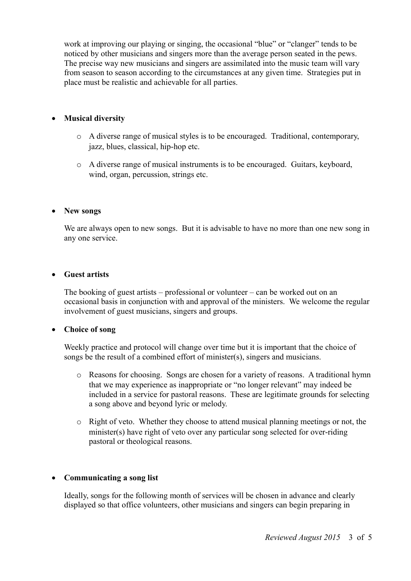work at improving our playing or singing, the occasional "blue" or "clanger" tends to be noticed by other musicians and singers more than the average person seated in the pews. The precise way new musicians and singers are assimilated into the music team will vary from season to season according to the circumstances at any given time. Strategies put in place must be realistic and achievable for all parties.

#### **Musical diversity**

- o A diverse range of musical styles is to be encouraged. Traditional, contemporary, jazz, blues, classical, hip-hop etc.
- o A diverse range of musical instruments is to be encouraged. Guitars, keyboard, wind, organ, percussion, strings etc.

#### **New songs**

We are always open to new songs. But it is advisable to have no more than one new song in any one service.

#### **Guest artists**

The booking of guest artists – professional or volunteer – can be worked out on an occasional basis in conjunction with and approval of the ministers. We welcome the regular involvement of guest musicians, singers and groups.

#### **Choice of song**

Weekly practice and protocol will change over time but it is important that the choice of songs be the result of a combined effort of minister(s), singers and musicians.

- o Reasons for choosing. Songs are chosen for a variety of reasons. A traditional hymn that we may experience as inappropriate or "no longer relevant" may indeed be included in a service for pastoral reasons. These are legitimate grounds for selecting a song above and beyond lyric or melody.
- o Right of veto. Whether they choose to attend musical planning meetings or not, the minister(s) have right of veto over any particular song selected for over-riding pastoral or theological reasons.

#### **Communicating a song list**

Ideally, songs for the following month of services will be chosen in advance and clearly displayed so that office volunteers, other musicians and singers can begin preparing in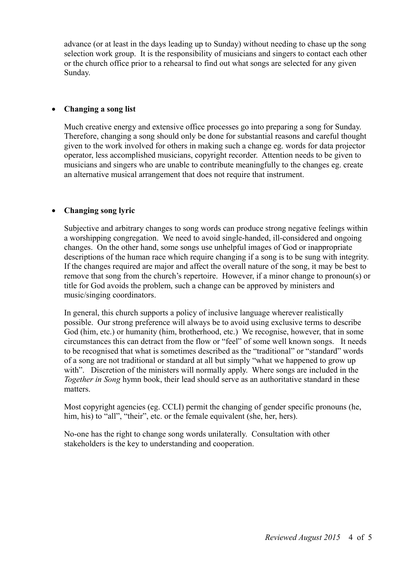advance (or at least in the days leading up to Sunday) without needing to chase up the song selection work group. It is the responsibility of musicians and singers to contact each other or the church office prior to a rehearsal to find out what songs are selected for any given Sunday.

#### **Changing a song list**

Much creative energy and extensive office processes go into preparing a song for Sunday. Therefore, changing a song should only be done for substantial reasons and careful thought given to the work involved for others in making such a change eg. words for data projector operator, less accomplished musicians, copyright recorder. Attention needs to be given to musicians and singers who are unable to contribute meaningfully to the changes eg. create an alternative musical arrangement that does not require that instrument.

#### **Changing song lyric**

Subjective and arbitrary changes to song words can produce strong negative feelings within a worshipping congregation. We need to avoid single-handed, ill-considered and ongoing changes. On the other hand, some songs use unhelpful images of God or inappropriate descriptions of the human race which require changing if a song is to be sung with integrity. If the changes required are major and affect the overall nature of the song, it may be best to remove that song from the church's repertoire. However, if a minor change to pronoun(s) or title for God avoids the problem, such a change can be approved by ministers and music/singing coordinators.

In general, this church supports a policy of inclusive language wherever realistically possible. Our strong preference will always be to avoid using exclusive terms to describe God (him, etc.) or humanity (him, brotherhood, etc.) We recognise, however, that in some circumstances this can detract from the flow or "feel" of some well known songs. It needs to be recognised that what is sometimes described as the "traditional" or "standard" words of a song are not traditional or standard at all but simply "what we happened to grow up with". Discretion of the ministers will normally apply. Where songs are included in the *Together in Song* hymn book, their lead should serve as an authoritative standard in these matters.

Most copyright agencies (eg. CCLI) permit the changing of gender specific pronouns (he, him, his) to "all", "their", etc. or the female equivalent (she, her, hers).

No-one has the right to change song words unilaterally. Consultation with other stakeholders is the key to understanding and cooperation.